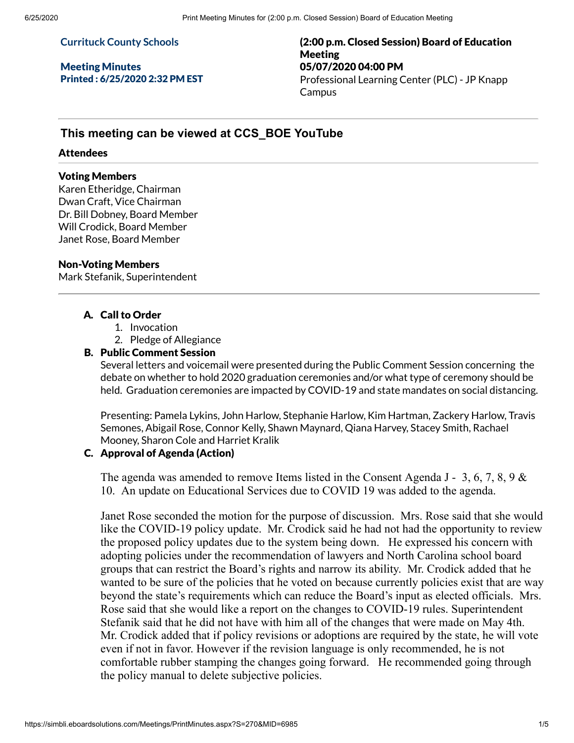#### **Currituck County Schools**

Meeting Minutes Printed : 6/25/2020 2:32 PM EST (2:00 p.m. Closed Session) Board of Education Meeting 05/07/2020 04:00 PM Professional Learning Center (PLC) - JP Knapp **Campus** 

# **This meeting can be viewed at CCS\_BOE YouTube**

#### Attendees

#### Voting Members

Karen Etheridge, Chairman Dwan Craft, Vice Chairman Dr. Bill Dobney, Board Member Will Crodick, Board Member Janet Rose, Board Member

#### Non-Voting Members

Mark Stefanik, Superintendent

### A. Call to Order

- 1. Invocation
- 2. Pledge of Allegiance

#### B. Public Comment Session

Several letters and voicemail were presented during the Public Comment Session concerning the debate on whether to hold 2020 graduation ceremonies and/or what type of ceremony should be held. Graduation ceremonies are impacted by COVID-19 and state mandates on social distancing.

Presenting: Pamela Lykins, John Harlow, Stephanie Harlow, Kim Hartman, Zackery Harlow, Travis Semones, Abigail Rose, Connor Kelly, Shawn Maynard, Qiana Harvey, Stacey Smith, Rachael Mooney, Sharon Cole and Harriet Kralik

#### C. Approval of Agenda (Action)

The agenda was amended to remove Items listed in the Consent Agenda J - 3, 6, 7, 8, 9 & 10. An update on Educational Services due to COVID 19 was added to the agenda.

Janet Rose seconded the motion for the purpose of discussion. Mrs. Rose said that she would like the COVID-19 policy update. Mr. Crodick said he had not had the opportunity to review the proposed policy updates due to the system being down. He expressed his concern with adopting policies under the recommendation of lawyers and North Carolina school board groups that can restrict the Board's rights and narrow its ability. Mr. Crodick added that he wanted to be sure of the policies that he voted on because currently policies exist that are way beyond the state's requirements which can reduce the Board's input as elected officials. Mrs. Rose said that she would like a report on the changes to COVID-19 rules. Superintendent Stefanik said that he did not have with him all of the changes that were made on May 4th. Mr. Crodick added that if policy revisions or adoptions are required by the state, he will vote even if not in favor. However if the revision language is only recommended, he is not comfortable rubber stamping the changes going forward. He recommended going through the policy manual to delete subjective policies.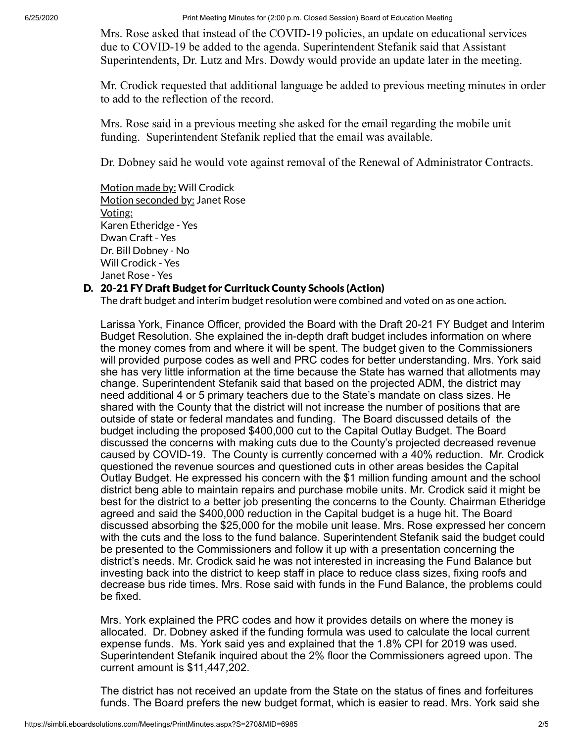6/25/2020 Print Meeting Minutes for (2:00 p.m. Closed Session) Board of Education Meeting

Mrs. Rose asked that instead of the COVID-19 policies, an update on educational services due to COVID-19 be added to the agenda. Superintendent Stefanik said that Assistant Superintendents, Dr. Lutz and Mrs. Dowdy would provide an update later in the meeting.

Mr. Crodick requested that additional language be added to previous meeting minutes in order to add to the reflection of the record.

Mrs. Rose said in a previous meeting she asked for the email regarding the mobile unit funding. Superintendent Stefanik replied that the email was available.

Dr. Dobney said he would vote against removal of the Renewal of Administrator Contracts.

Motion made by: Will Crodick Motion seconded by: Janet Rose Voting: Karen Etheridge - Yes Dwan Craft - Yes Dr. Bill Dobney - No Will Crodick - Yes Janet Rose - Yes

## D. 20-21 FY Draft Budget for Currituck County Schools (Action)

The draft budget and interim budget resolution were combined and voted on as one action.

Larissa York, Finance Officer, provided the Board with the Draft 20-21 FY Budget and Interim Budget Resolution. She explained the in-depth draft budget includes information on where the money comes from and where it will be spent. The budget given to the Commissioners will provided purpose codes as well and PRC codes for better understanding. Mrs. York said she has very little information at the time because the State has warned that allotments may change. Superintendent Stefanik said that based on the projected ADM, the district may need additional 4 or 5 primary teachers due to the State's mandate on class sizes. He shared with the County that the district will not increase the number of positions that are outside of state or federal mandates and funding. The Board discussed details of the budget including the proposed \$400,000 cut to the Capital Outlay Budget. The Board discussed the concerns with making cuts due to the County's projected decreased revenue caused by COVID-19. The County is currently concerned with a 40% reduction. Mr. Crodick questioned the revenue sources and questioned cuts in other areas besides the Capital Outlay Budget. He expressed his concern with the \$1 million funding amount and the school district beng able to maintain repairs and purchase mobile units. Mr. Crodick said it might be best for the district to a better job presenting the concerns to the County. Chairman Etheridge agreed and said the \$400,000 reduction in the Capital budget is a huge hit. The Board discussed absorbing the \$25,000 for the mobile unit lease. Mrs. Rose expressed her concern with the cuts and the loss to the fund balance. Superintendent Stefanik said the budget could be presented to the Commissioners and follow it up with a presentation concerning the district's needs. Mr. Crodick said he was not interested in increasing the Fund Balance but investing back into the district to keep staff in place to reduce class sizes, fixing roofs and decrease bus ride times. Mrs. Rose said with funds in the Fund Balance, the problems could be fixed.

Mrs. York explained the PRC codes and how it provides details on where the money is allocated. Dr. Dobney asked if the funding formula was used to calculate the local current expense funds. Ms. York said yes and explained that the 1.8% CPI for 2019 was used. Superintendent Stefanik inquired about the 2% floor the Commissioners agreed upon. The current amount is \$11,447,202.

The district has not received an update from the State on the status of fines and forfeitures funds. The Board prefers the new budget format, which is easier to read. Mrs. York said she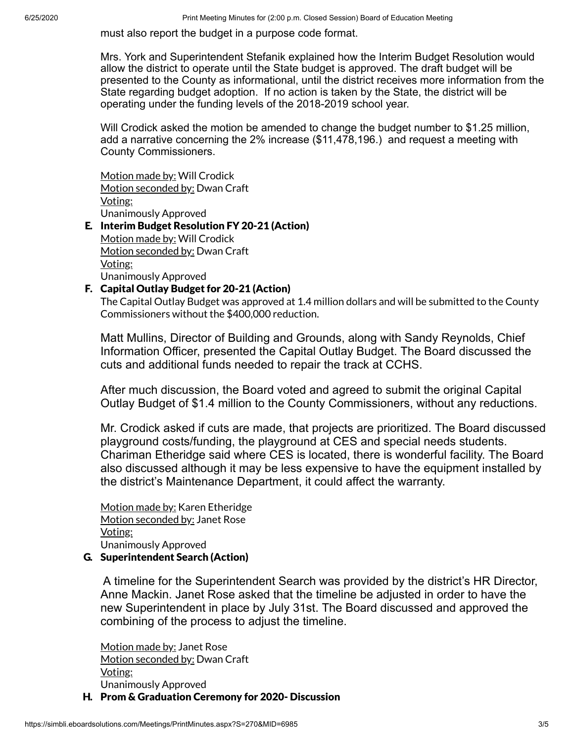must also report the budget in a purpose code format.

Mrs. York and Superintendent Stefanik explained how the Interim Budget Resolution would allow the district to operate until the State budget is approved. The draft budget will be presented to the County as informational, until the district receives more information from the State regarding budget adoption. If no action is taken by the State, the district will be operating under the funding levels of the 2018-2019 school year.

Will Crodick asked the motion be amended to change the budget number to \$1.25 million, add a narrative concerning the 2% increase (\$11,478,196.) and request a meeting with County Commissioners.

Motion made by: Will Crodick Motion seconded by: Dwan Craft Voting: Unanimously Approved

#### E. Interim Budget Resolution FY 20-21 (Action) Motion made by: Will Crodick Motion seconded by: Dwan Craft Voting: Unanimously Approved

## F. Capital Outlay Budget for 20-21 (Action)

The Capital Outlay Budget was approved at 1.4 million dollars and will be submitted to the County Commissioners without the \$400,000 reduction.

Matt Mullins, Director of Building and Grounds, along with Sandy Reynolds, Chief Information Officer, presented the Capital Outlay Budget. The Board discussed the cuts and additional funds needed to repair the track at CCHS.

After much discussion, the Board voted and agreed to submit the original Capital Outlay Budget of \$1.4 million to the County Commissioners, without any reductions.

Mr. Crodick asked if cuts are made, that projects are prioritized. The Board discussed playground costs/funding, the playground at CES and special needs students. Chariman Etheridge said where CES is located, there is wonderful facility. The Board also discussed although it may be less expensive to have the equipment installed by the district's Maintenance Department, it could affect the warranty.

Motion made by: Karen Etheridge Motion seconded by: Janet Rose Voting: Unanimously Approved

### G. Superintendent Search (Action)

A timeline for the Superintendent Search was provided by the district's HR Director, Anne Mackin. Janet Rose asked that the timeline be adjusted in order to have the new Superintendent in place by July 31st. The Board discussed and approved the combining of the process to adjust the timeline.

Motion made by: Janet Rose Motion seconded by: Dwan Craft Voting: Unanimously Approved

H. Prom & Graduation Ceremony for 2020- Discussion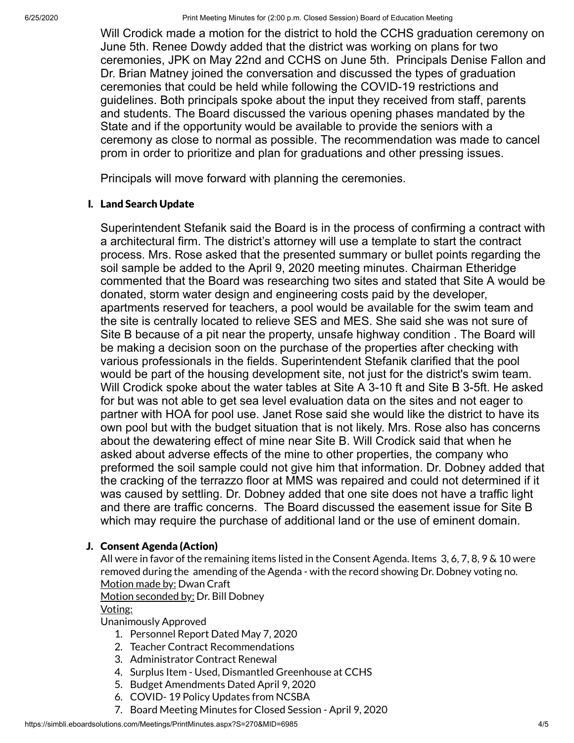6/25/2020 Print Meeting Minutes for (2:00 p.m. Closed Session) Board of Education Meeting

Will Crodick made a motion for the district to hold the CCHS graduation ceremony on June 5th. Renee Dowdy added that the district was working on plans for two ceremonies, JPK on May 22nd and CCHS on June 5th. Principals Denise Fallon and Dr. Brian Matney joined the conversation and discussed the types of graduation ceremonies that could be held while following the COVID-19 restrictions and guidelines. Both principals spoke about the input they received from staff, parents and students. The Board discussed the various opening phases mandated by the State and if the opportunity would be available to provide the seniors with a ceremony as close to normal as possible. The recommendation was made to cancel prom in order to prioritize and plan for graduations and other pressing issues.

Principals will move forward with planning the ceremonies.

## I. Land Search Update

Superintendent Stefanik said the Board is in the process of confirming a contract with a architectural firm. The district's attorney will use a template to start the contract process. Mrs. Rose asked that the presented summary or bullet points regarding the soil sample be added to the April 9, 2020 meeting minutes. Chairman Etheridge commented that the Board was researching two sites and stated that Site A would be donated, storm water design and engineering costs paid by the developer, apartments reserved for teachers, a pool would be available for the swim team and the site is centrally located to relieve SES and MES. She said she was not sure of Site B because of a pit near the property, unsafe highway condition . The Board will be making a decision soon on the purchase of the properties after checking with various professionals in the fields. Superintendent Stefanik clarified that the pool would be part of the housing development site, not just for the district's swim team. Will Crodick spoke about the water tables at Site A 3-10 ft and Site B 3-5ft. He asked for but was not able to get sea level evaluation data on the sites and not eager to partner with HOA for pool use. Janet Rose said she would like the district to have its own pool but with the budget situation that is not likely. Mrs. Rose also has concerns about the dewatering effect of mine near Site B. Will Crodick said that when he asked about adverse effects of the mine to other properties, the company who preformed the soil sample could not give him that information. Dr. Dobney added that the cracking of the terrazzo floor at MMS was repaired and could not determined if it was caused by settling. Dr. Dobney added that one site does not have a traffic light and there are traffic concerns. The Board discussed the easement issue for Site B which may require the purchase of additional land or the use of eminent domain.

## J. Consent Agenda (Action)

All were in favor of the remaining items listed in the Consent Agenda. Items 3, 6, 7, 8, 9 & 10 were removed during the amending of the Agenda - with the record showing Dr. Dobney voting no. Motion made by: Dwan Craft

Motion seconded by: Dr. Bill Dobney

### Voting:

Unanimously Approved

- 1. Personnel Report Dated May 7, 2020
- 2. Teacher Contract Recommendations
- 3. Administrator Contract Renewal
- 4. Surplus Item Used, Dismantled Greenhouse at CCHS
- 5. Budget Amendments Dated April 9, 2020
- 6. COVID- 19 Policy Updates from NCSBA
- 7. Board Meeting Minutes for Closed Session April 9, 2020